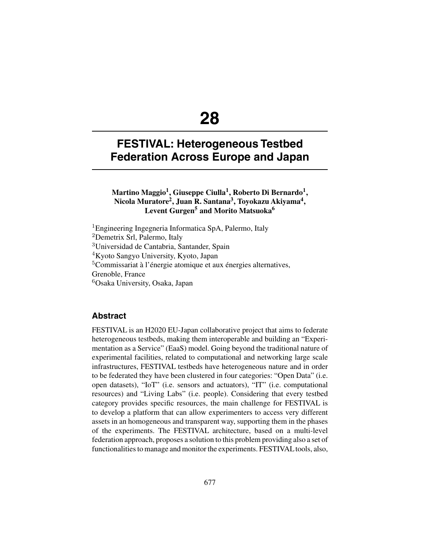# **28**

# **FESTIVAL: Heterogeneous Testbed Federation Across Europe and Japan**

# **Martino Maggio1, Giuseppe Ciulla1, Roberto Di Bernardo1, Nicola Muratore2, Juan R. Santana3, Toyokazu Akiyama4,** Levent Gurgen<sup>5</sup> and Morito Matsuoka<sup>6</sup>

Engineering Ingegneria Informatica SpA, Palermo, Italy Demetrix Srl, Palermo, Italy Universidad de Cantabria, Santander, Spain Kyoto Sangyo University, Kyoto, Japan Commissariat à l'énergie atomique et aux énergies alternatives, Grenoble, France Osaka University, Osaka, Japan

# **Abstract**

FESTIVAL is an H2020 EU-Japan collaborative project that aims to federate heterogeneous testbeds, making them interoperable and building an "Experimentation as a Service" (EaaS) model. Going beyond the traditional nature of experimental facilities, related to computational and networking large scale infrastructures, FESTIVAL testbeds have heterogeneous nature and in order to be federated they have been clustered in four categories: "Open Data" (i.e. open datasets), "IoT" (i.e. sensors and actuators), "IT" (i.e. computational resources) and "Living Labs" (i.e. people). Considering that every testbed category provides specific resources, the main challenge for FESTIVAL is to develop a platform that can allow experimenters to access very different assets in an homogeneous and transparent way, supporting them in the phases of the experiments. The FESTIVAL architecture, based on a multi-level federation approach, proposes a solution to this problem providing also a set of functionalities to manage and monitor the experiments. FESTIVAL tools, also,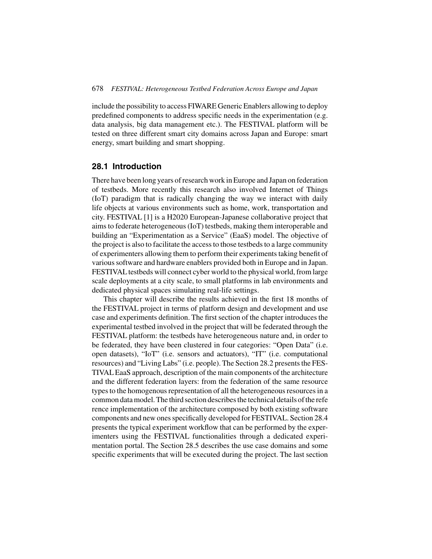include the possibility to access FIWARE Generic Enablers allowing to deploy predefined components to address specific needs in the experimentation (e.g. data analysis, big data management etc.). The FESTIVAL platform will be tested on three different smart city domains across Japan and Europe: smart energy, smart building and smart shopping.

#### **28.1 Introduction**

There have been long years of research work in Europe and Japan on federation of testbeds. More recently this research also involved Internet of Things (IoT) paradigm that is radically changing the way we interact with daily life objects at various environments such as home, work, transportation and city. FESTIVAL [1] is a H2020 European-Japanese collaborative project that aims to federate heterogeneous (IoT) testbeds, making them interoperable and building an "Experimentation as a Service" (EaaS) model. The objective of the project is also to facilitate the access to those testbeds to a large community of experimenters allowing them to perform their experiments taking benefit of various software and hardware enablers provided both in Europe and in Japan. FESTIVAL testbeds will connect cyber world to the physical world, from large scale deployments at a city scale, to small platforms in lab environments and dedicated physical spaces simulating real-life settings.

This chapter will describe the results achieved in the first 18 months of the FESTIVAL project in terms of platform design and development and use case and experiments definition. The first section of the chapter introduces the experimental testbed involved in the project that will be federated through the FESTIVAL platform: the testbeds have heterogeneous nature and, in order to be federated, they have been clustered in four categories: "Open Data" (i.e. open datasets), "IoT" (i.e. sensors and actuators), "IT" (i.e. computational resources) and "Living Labs" (i.e. people). The Section 28.2 presents the FES-TIVAL EaaS approach, description of the main components of the architecture and the different federation layers: from the federation of the same resource types to the homogenous representation of all the heterogeneous resources in a common data model. The third section describes the technical details of the refe rence implementation of the architecture composed by both existing software components and new ones specifically developed for FESTIVAL. Section 28.4 presents the typical experiment workflow that can be performed by the experimenters using the FESTIVAL functionalities through a dedicated experimentation portal. The Section 28.5 describes the use case domains and some specific experiments that will be executed during the project. The last section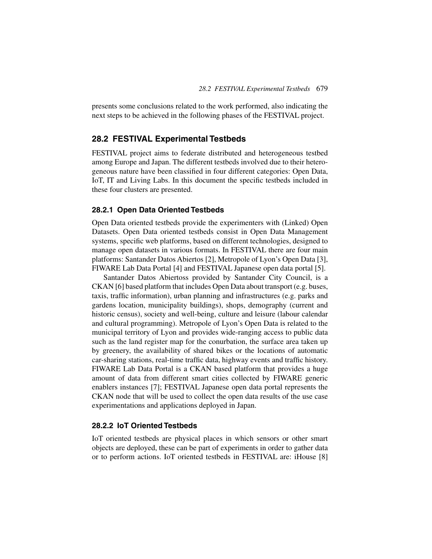presents some conclusions related to the work performed, also indicating the next steps to be achieved in the following phases of the FESTIVAL project.

# **28.2 FESTIVAL Experimental Testbeds**

FESTIVAL project aims to federate distributed and heterogeneous testbed among Europe and Japan. The different testbeds involved due to their heterogeneous nature have been classified in four different categories: Open Data, IoT, IT and Living Labs. In this document the specific testbeds included in these four clusters are presented.

#### **28.2.1 Open Data Oriented Testbeds**

Open Data oriented testbeds provide the experimenters with (Linked) Open Datasets. Open Data oriented testbeds consist in Open Data Management systems, specific web platforms, based on different technologies, designed to manage open datasets in various formats. In FESTIVAL there are four main platforms: Santander Datos Abiertos [2], Metropole of Lyon's Open Data [3], FIWARE Lab Data Portal [4] and FESTIVAL Japanese open data portal [5].

Santander Datos Abiertoss provided by Santander City Council, is a CKAN [6] based platform that includes Open Data about transport (e.g. buses, taxis, traffic information), urban planning and infrastructures (e.g. parks and gardens location, municipality buildings), shops, demography (current and historic census), society and well-being, culture and leisure (labour calendar and cultural programming). Metropole of Lyon's Open Data is related to the municipal territory of Lyon and provides wide-ranging access to public data such as the land register map for the conurbation, the surface area taken up by greenery, the availability of shared bikes or the locations of automatic car-sharing stations, real-time traffic data, highway events and traffic history. FIWARE Lab Data Portal is a CKAN based platform that provides a huge amount of data from different smart cities collected by FIWARE generic enablers instances [7]; FESTIVAL Japanese open data portal represents the CKAN node that will be used to collect the open data results of the use case experimentations and applications deployed in Japan.

#### **28.2.2 IoT Oriented Testbeds**

IoT oriented testbeds are physical places in which sensors or other smart objects are deployed, these can be part of experiments in order to gather data or to perform actions. IoT oriented testbeds in FESTIVAL are: iHouse [8]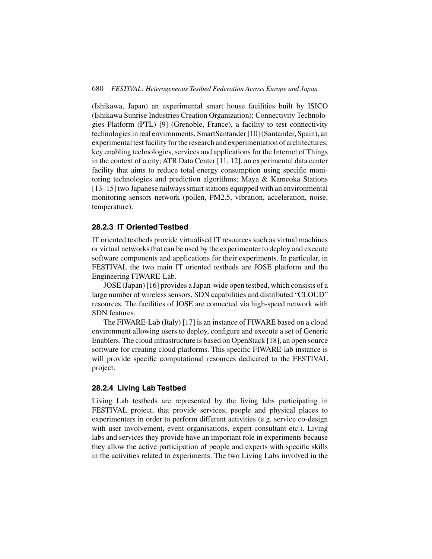(Ishikawa, Japan) an experimental smart house facilities built by ISICO (Ishikawa Sunrise Industries Creation Organization); Connectivity Technologies Platform (PTL) [9] (Grenoble, France), a facility to test connectivity technologies in real environments, SmartSantander [10] (Santander, Spain), an experimental test facility for the research and experimentation of architectures, key enabling technologies, services and applications for the Internet of Things in the context of a city; ATR Data Center [11, 12], an experimental data center facility that aims to reduce total energy consumption using specific monitoring technologies and prediction algorithms; Maya & Kameoka Stations [13–15] two Japanese railways smart stations equipped with an environmental monitoring sensors network (pollen, PM2.5, vibration, acceleration, noise, temperature).

#### **28.2.3 IT Oriented Testbed**

IT oriented testbeds provide virtualised IT resources such as virtual machines or virtual networks that can be used by the experimenter to deploy and execute software components and applications for their experiments. In particular, in FESTIVAL the two main IT oriented testbeds are JOSE platform and the Engineering FIWARE-Lab.

JOSE (Japan) [16] provides a Japan-wide open testbed, which consists of a large number of wireless sensors, SDN capabilities and distributed "CLOUD" resources. The facilities of JOSE are connected via high-speed network with SDN features.

The FIWARE-Lab (Italy) [17] is an instance of FIWARE based on a cloud environment allowing users to deploy, configure and execute a set of Generic Enablers. The cloud infrastructure is based on OpenStack [18], an open source software for creating cloud platforms. This specific FIWARE-lab instance is will provide specific computational resources dedicated to the FESTIVAL project.

# **28.2.4 Living Lab Testbed**

Living Lab testbeds are represented by the living labs participating in FESTIVAL project, that provide services, people and physical places to experimenters in order to perform different activities (e.g. service co-design with user involvement, event organisations, expert consultant etc.). Living labs and services they provide have an important role in experiments because they allow the active participation of people and experts with specific skills in the activities related to experiments. The two Living Labs involved in the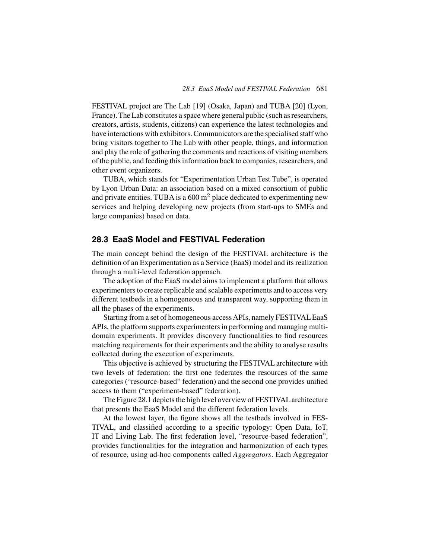FESTIVAL project are The Lab [19] (Osaka, Japan) and TUBA [20] (Lyon, France). The Lab constitutes a space where general public (such as researchers, creators, artists, students, citizens) can experience the latest technologies and have interactions with exhibitors. Communicators are the specialised staff who bring visitors together to The Lab with other people, things, and information and play the role of gathering the comments and reactions of visiting members of the public, and feeding this information back to companies, researchers, and other event organizers.

TUBA, which stands for "Experimentation Urban Test Tube", is operated by Lyon Urban Data: an association based on a mixed consortium of public and private entities. TUBA is a  $600 \text{ m}^2$  place dedicated to experimenting new services and helping developing new projects (from start-ups to SMEs and large companies) based on data.

# **28.3 EaaS Model and FESTIVAL Federation**

The main concept behind the design of the FESTIVAL architecture is the definition of an Experimentation as a Service (EaaS) model and its realization through a multi-level federation approach.

The adoption of the EaaS model aims to implement a platform that allows experimenters to create replicable and scalable experiments and to access very different testbeds in a homogeneous and transparent way, supporting them in all the phases of the experiments.

Starting from a set of homogeneous access APIs, namely FESTIVAL EaaS APIs, the platform supports experimenters in performing and managing multidomain experiments. It provides discovery functionalities to find resources matching requirements for their experiments and the ability to analyse results collected during the execution of experiments.

This objective is achieved by structuring the FESTIVAL architecture with two levels of federation: the first one federates the resources of the same categories ("resource-based" federation) and the second one provides unified access to them ("experiment-based" federation).

The Figure 28.1 depicts the high level overview of FESTIVAL architecture that presents the EaaS Model and the different federation levels.

At the lowest layer, the figure shows all the testbeds involved in FES-TIVAL, and classified according to a specific typology: Open Data, IoT, IT and Living Lab. The first federation level, "resource-based federation", provides functionalities for the integration and harmonization of each types of resource, using ad-hoc components called *Aggregators*. Each Aggregator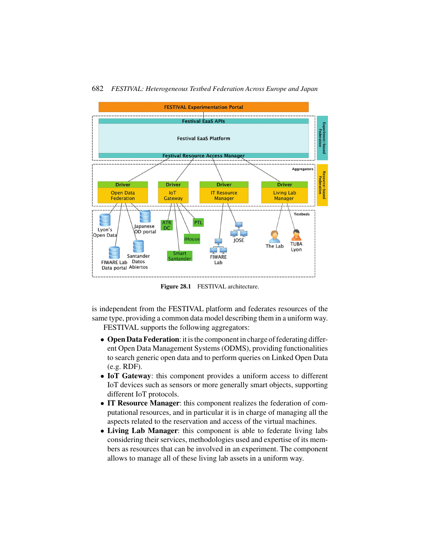

Figure 28.1 FESTIVAL architecture.

is independent from the FESTIVAL platform and federates resources of the same type, providing a common data model describing them in a uniform way. FESTIVAL supports the following aggregators:

- **Open Data Federation**: it is the component in charge of federating different Open Data Management Systems (ODMS), providing functionalities to search generic open data and to perform queries on Linked Open Data (e.g. RDF).
- **IoT Gateway**: this component provides a uniform access to different IoT devices such as sensors or more generally smart objects, supporting different IoT protocols.
- **IT Resource Manager**: this component realizes the federation of computational resources, and in particular it is in charge of managing all the aspects related to the reservation and access of the virtual machines.
- **Living Lab Manager**: this component is able to federate living labs considering their services, methodologies used and expertise of its members as resources that can be involved in an experiment. The component allows to manage all of these living lab assets in a uniform way.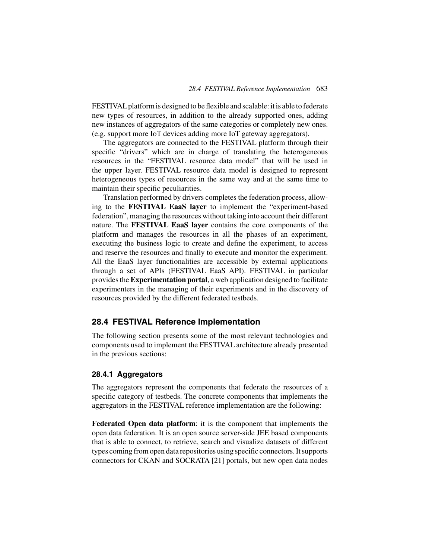FESTIVALplatform is designed to be flexible and scalable: it is able to federate new types of resources, in addition to the already supported ones, adding new instances of aggregators of the same categories or completely new ones. (e.g. support more IoT devices adding more IoT gateway aggregators).

The aggregators are connected to the FESTIVAL platform through their specific "drivers" which are in charge of translating the heterogeneous resources in the "FESTIVAL resource data model" that will be used in the upper layer. FESTIVAL resource data model is designed to represent heterogeneous types of resources in the same way and at the same time to maintain their specific peculiarities.

Translation performed by drivers completes the federation process, allowing to the **FESTIVAL EaaS layer** to implement the "experiment-based federation", managing the resources without taking into account their different nature. The **FESTIVAL EaaS layer** contains the core components of the platform and manages the resources in all the phases of an experiment, executing the business logic to create and define the experiment, to access and reserve the resources and finally to execute and monitor the experiment. All the EaaS layer functionalities are accessible by external applications through a set of APIs (FESTIVAL EaaS API). FESTIVAL in particular provides the **Experimentation portal**, a web application designed to facilitate experimenters in the managing of their experiments and in the discovery of resources provided by the different federated testbeds.

#### **28.4 FESTIVAL Reference Implementation**

The following section presents some of the most relevant technologies and components used to implement the FESTIVAL architecture already presented in the previous sections:

#### **28.4.1 Aggregators**

The aggregators represent the components that federate the resources of a specific category of testbeds. The concrete components that implements the aggregators in the FESTIVAL reference implementation are the following:

**Federated Open data platform**: it is the component that implements the open data federation. It is an open source server-side JEE based components that is able to connect, to retrieve, search and visualize datasets of different types coming from open data repositories using specific connectors. It supports connectors for CKAN and SOCRATA [21] portals, but new open data nodes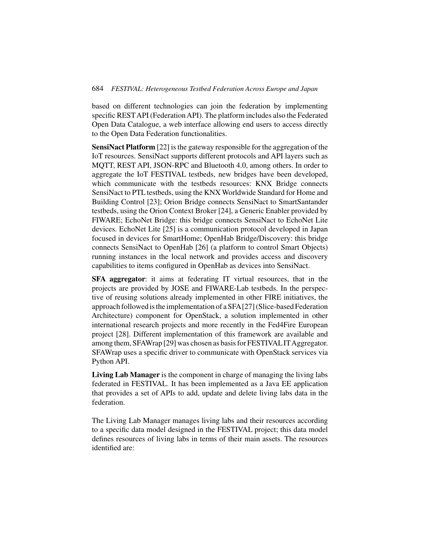based on different technologies can join the federation by implementing specific RESTAPI (FederationAPI). The platform includes also the Federated Open Data Catalogue, a web interface allowing end users to access directly to the Open Data Federation functionalities.

**SensiNact Platform** [22] is the gateway responsible for the aggregation of the IoT resources. SensiNact supports different protocols and API layers such as MQTT, REST API, JSON-RPC and Bluetooth 4.0, among others. In order to aggregate the IoT FESTIVAL testbeds, new bridges have been developed, which communicate with the testbeds resources: KNX Bridge connects SensiNact to PTL testbeds, using the KNX Worldwide Standard for Home and Building Control [23]; Orion Bridge connects SensiNact to SmartSantander testbeds, using the Orion Context Broker [24], a Generic Enabler provided by FIWARE; EchoNet Bridge: this bridge connects SensiNact to EchoNet Lite devices. EchoNet Lite [25] is a communication protocol developed in Japan focused in devices for SmartHome; OpenHab Bridge/Discovery: this bridge connects SensiNact to OpenHab [26] (a platform to control Smart Objects) running instances in the local network and provides access and discovery capabilities to items configured in OpenHab as devices into SensiNact.

**SFA aggregator**: it aims at federating IT virtual resources, that in the projects are provided by JOSE and FIWARE-Lab testbeds. In the perspective of reusing solutions already implemented in other FIRE initiatives, the approach followed is the implementation of a SFA[27] (Slice-based Federation Architecture) component for OpenStack, a solution implemented in other international research projects and more recently in the Fed4Fire European project [28]. Different implementation of this framework are available and among them, SFAWrap [29] was chosen as basis for FESTIVALIT Aggregator. SFAWrap uses a specific driver to communicate with OpenStack services via Python API.

**Living Lab Manager** is the component in charge of managing the living labs federated in FESTIVAL. It has been implemented as a Java EE application that provides a set of APIs to add, update and delete living labs data in the federation.

The Living Lab Manager manages living labs and their resources according to a specific data model designed in the FESTIVAL project; this data model defines resources of living labs in terms of their main assets. The resources identified are: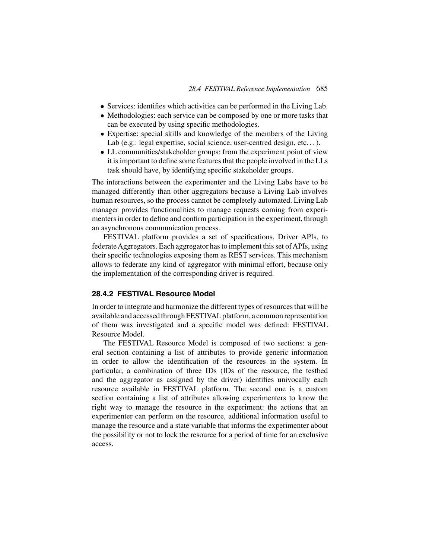- Services: identifies which activities can be performed in the Living Lab.
- Methodologies: each service can be composed by one or more tasks that can be executed by using specific methodologies.
- Expertise: special skills and knowledge of the members of the Living Lab (e.g.: legal expertise, social science, user-centred design, etc...).
- LL communities/stakeholder groups: from the experiment point of view it is important to define some features that the people involved in the LLs task should have, by identifying specific stakeholder groups.

The interactions between the experimenter and the Living Labs have to be managed differently than other aggregators because a Living Lab involves human resources, so the process cannot be completely automated. Living Lab manager provides functionalities to manage requests coming from experimenters in order to define and confirm participation in the experiment, through an asynchronous communication process.

FESTIVAL platform provides a set of specifications, Driver APIs, to federate Aggregators. Each aggregator has to implement this set of APIs, using their specific technologies exposing them as REST services. This mechanism allows to federate any kind of aggregator with minimal effort, because only the implementation of the corresponding driver is required.

# **28.4.2 FESTIVAL Resource Model**

In order to integrate and harmonize the different types of resources that will be available and accessed through FESTIVALplatform, a common representation of them was investigated and a specific model was defined: FESTIVAL Resource Model.

The FESTIVAL Resource Model is composed of two sections: a general section containing a list of attributes to provide generic information in order to allow the identification of the resources in the system. In particular, a combination of three IDs (IDs of the resource, the testbed and the aggregator as assigned by the driver) identifies univocally each resource available in FESTIVAL platform. The second one is a custom section containing a list of attributes allowing experimenters to know the right way to manage the resource in the experiment: the actions that an experimenter can perform on the resource, additional information useful to manage the resource and a state variable that informs the experimenter about the possibility or not to lock the resource for a period of time for an exclusive access.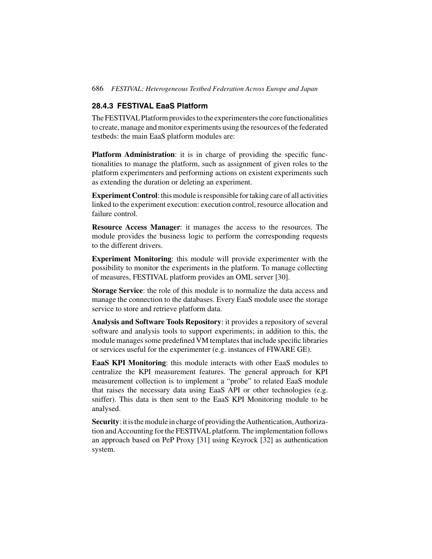# **28.4.3 FESTIVAL EaaS Platform**

The FESTIVALPlatform provides to the experimenters the core functionalities to create, manage and monitor experiments using the resources of the federated testbeds: the main EaaS platform modules are:

**Platform Administration**: it is in charge of providing the specific functionalities to manage the platform, such as assignment of given roles to the platform experimenters and performing actions on existent experiments such as extending the duration or deleting an experiment.

**Experiment Control**: this module is responsible for taking care of all activities linked to the experiment execution: execution control, resource allocation and failure control.

**Resource Access Manager**: it manages the access to the resources. The module provides the business logic to perform the corresponding requests to the different drivers.

**Experiment Monitoring**: this module will provide experimenter with the possibility to monitor the experiments in the platform. To manage collecting of measures, FESTIVAL platform provides an OML server [30].

**Storage Service**: the role of this module is to normalize the data access and manage the connection to the databases. Every EaaS module usee the storage service to store and retrieve platform data.

**Analysis and Software Tools Repository**: it provides a repository of several software and analysis tools to support experiments; in addition to this, the module manages some predefined VM templates that include specific libraries or services useful for the experimenter (e.g. instances of FIWARE GE).

**EaaS KPI Monitoring**: this module interacts with other EaaS modules to centralize the KPI measurement features. The general approach for KPI measurement collection is to implement a "probe" to related EaaS module that raises the necessary data using EaaS API or other technologies (e.g. sniffer). This data is then sent to the EaaS KPI Monitoring module to be analysed.

**Security**: it is the module in charge of providing the Authentication, Authorization and Accounting for the FESTIVAL platform. The implementation follows an approach based on PeP Proxy [31] using Keyrock [32] as authentication system.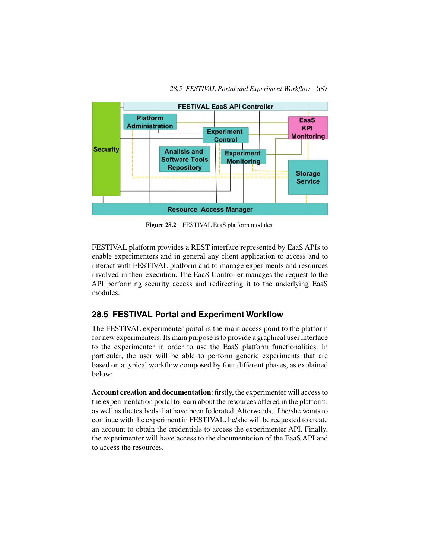

**Figure 28.2** FESTIVAL EaaS platform modules.

FESTIVAL platform provides a REST interface represented by EaaS APIs to enable experimenters and in general any client application to access and to interact with FESTIVAL platform and to manage experiments and resources involved in their execution. The EaaS Controller manages the request to the API performing security access and redirecting it to the underlying EaaS modules.

# **28.5 FESTIVAL Portal and Experiment Workflow**

The FESTIVAL experimenter portal is the main access point to the platform for new experimenters. Its main purpose is to provide a graphical user interface to the experimenter in order to use the EaaS platform functionalities. In particular, the user will be able to perform generic experiments that are based on a typical workflow composed by four different phases, as explained below:

**Account creation and documentation**: firstly, the experimenter will access to the experimentation portal to learn about the resources offered in the platform, as well as the testbeds that have been federated. Afterwards, if he/she wants to continue with the experiment in FESTIVAL, he/she will be requested to create an account to obtain the credentials to access the experimenter API. Finally, the experimenter will have access to the documentation of the EaaS API and to access the resources.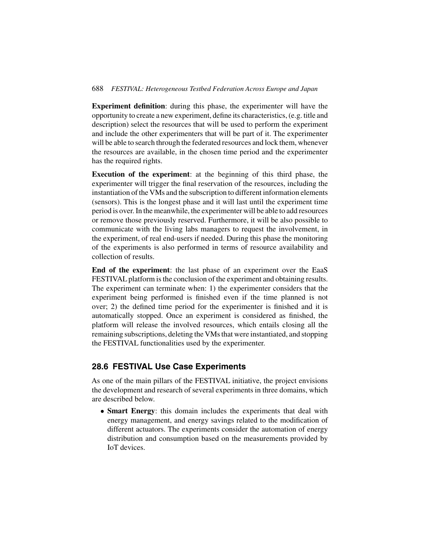**Experiment definition**: during this phase, the experimenter will have the opportunity to create a new experiment, define its characteristics, (e.g. title and description) select the resources that will be used to perform the experiment and include the other experimenters that will be part of it. The experimenter will be able to search through the federated resources and lock them, whenever the resources are available, in the chosen time period and the experimenter has the required rights.

**Execution of the experiment**: at the beginning of this third phase, the experimenter will trigger the final reservation of the resources, including the instantiation of the VMs and the subscription to different information elements (sensors). This is the longest phase and it will last until the experiment time period is over. In the meanwhile, the experimenter will be able to add resources or remove those previously reserved. Furthermore, it will be also possible to communicate with the living labs managers to request the involvement, in the experiment, of real end-users if needed. During this phase the monitoring of the experiments is also performed in terms of resource availability and collection of results.

**End of the experiment**: the last phase of an experiment over the EaaS FESTIVAL platform is the conclusion of the experiment and obtaining results. The experiment can terminate when: 1) the experimenter considers that the experiment being performed is finished even if the time planned is not over; 2) the defined time period for the experimenter is finished and it is automatically stopped. Once an experiment is considered as finished, the platform will release the involved resources, which entails closing all the remaining subscriptions, deleting the VMs that were instantiated, and stopping the FESTIVAL functionalities used by the experimenter.

# **28.6 FESTIVAL Use Case Experiments**

As one of the main pillars of the FESTIVAL initiative, the project envisions the development and research of several experiments in three domains, which are described below.

• **Smart Energy**: this domain includes the experiments that deal with energy management, and energy savings related to the modification of different actuators. The experiments consider the automation of energy distribution and consumption based on the measurements provided by IoT devices.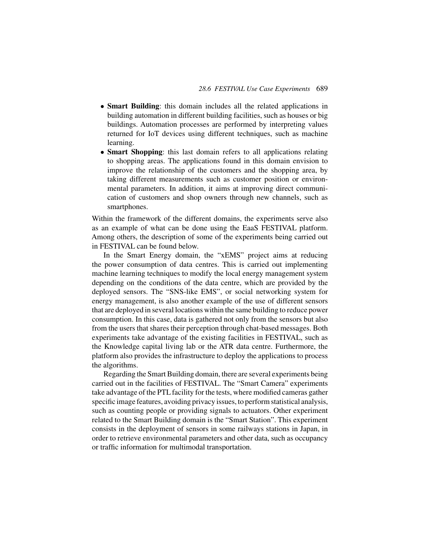- **Smart Building**: this domain includes all the related applications in building automation in different building facilities, such as houses or big buildings. Automation processes are performed by interpreting values returned for IoT devices using different techniques, such as machine learning.
- **Smart Shopping**: this last domain refers to all applications relating to shopping areas. The applications found in this domain envision to improve the relationship of the customers and the shopping area, by taking different measurements such as customer position or environmental parameters. In addition, it aims at improving direct communication of customers and shop owners through new channels, such as smartphones.

Within the framework of the different domains, the experiments serve also as an example of what can be done using the EaaS FESTIVAL platform. Among others, the description of some of the experiments being carried out in FESTIVAL can be found below.

In the Smart Energy domain, the "xEMS" project aims at reducing the power consumption of data centres. This is carried out implementing machine learning techniques to modify the local energy management system depending on the conditions of the data centre, which are provided by the deployed sensors. The "SNS-like EMS", or social networking system for energy management, is also another example of the use of different sensors that are deployed in several locations within the same building to reduce power consumption. In this case, data is gathered not only from the sensors but also from the users that shares their perception through chat-based messages. Both experiments take advantage of the existing facilities in FESTIVAL, such as the Knowledge capital living lab or the ATR data centre. Furthermore, the platform also provides the infrastructure to deploy the applications to process the algorithms.

Regarding the Smart Building domain, there are several experiments being carried out in the facilities of FESTIVAL. The "Smart Camera" experiments take advantage of the PTL facility for the tests, where modified cameras gather specific image features, avoiding privacy issues, to perform statistical analysis, such as counting people or providing signals to actuators. Other experiment related to the Smart Building domain is the "Smart Station". This experiment consists in the deployment of sensors in some railways stations in Japan, in order to retrieve environmental parameters and other data, such as occupancy or traffic information for multimodal transportation.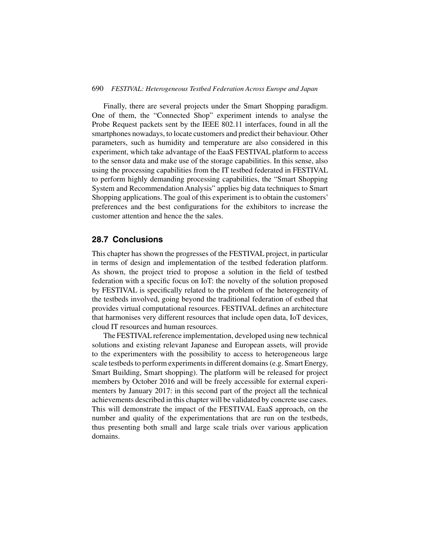Finally, there are several projects under the Smart Shopping paradigm. One of them, the "Connected Shop" experiment intends to analyse the Probe Request packets sent by the IEEE 802.11 interfaces, found in all the smartphones nowadays, to locate customers and predict their behaviour. Other parameters, such as humidity and temperature are also considered in this experiment, which take advantage of the EaaS FESTIVAL platform to access to the sensor data and make use of the storage capabilities. In this sense, also using the processing capabilities from the IT testbed federated in FESTIVAL to perform highly demanding processing capabilities, the "Smart Shopping System and Recommendation Analysis" applies big data techniques to Smart Shopping applications. The goal of this experiment is to obtain the customers' preferences and the best configurations for the exhibitors to increase the customer attention and hence the the sales.

# **28.7 Conclusions**

This chapter has shown the progresses of the FESTIVAL project, in particular in terms of design and implementation of the testbed federation platform. As shown, the project tried to propose a solution in the field of testbed federation with a specific focus on IoT: the novelty of the solution proposed by FESTIVAL is specifically related to the problem of the heterogeneity of the testbeds involved, going beyond the traditional federation of estbed that provides virtual computational resources. FESTIVAL defines an architecture that harmonises very different resources that include open data, IoT devices, cloud IT resources and human resources.

The FESTIVAL reference implementation, developed using new technical solutions and existing relevant Japanese and European assets, will provide to the experimenters with the possibility to access to heterogeneous large scale testbeds to perform experiments in different domains (e.g. Smart Energy, Smart Building, Smart shopping). The platform will be released for project members by October 2016 and will be freely accessible for external experimenters by January 2017: in this second part of the project all the technical achievements described in this chapter will be validated by concrete use cases. This will demonstrate the impact of the FESTIVAL EaaS approach, on the number and quality of the experimentations that are run on the testbeds, thus presenting both small and large scale trials over various application domains.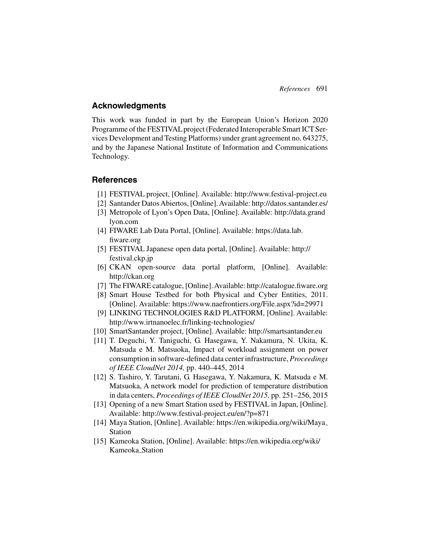# **Acknowledgments**

This work was funded in part by the European Union's Horizon 2020 Programme of the FESTIVAL project (Federated Interoperable Smart ICT Services Development and Testing Platforms) under grant agreement no. 643275, and by the Japanese National Institute of Information and Communications Technology.

#### **References**

- [1] FESTIVAL project, [Online]. Available: http://www.festival-project.eu
- [2] Santander DatosAbiertos, [Online].Available: http://datos.santander.es/
- [3] Metropole of Lyon's Open Data, [Online]. Available: http://data.grand lyon.com
- [4] FIWARE Lab Data Portal, [Online]. Available: https://data.lab. fiware.org
- [5] FESTIVAL Japanese open data portal, [Online]. Available: http:// festival.ckp.jp
- [6] CKAN open-source data portal platform, [Online]. Available: http://ckan.org
- [7] The FIWARE catalogue, [Online].Available: http://catalogue.fiware.org
- [8] Smart House Testbed for both Physical and Cyber Entities, 2011. [Online]. Available: https://www.naefrontiers.org/File.aspx?id=29971
- [9] LINKING TECHNOLOGIES R&D PLATFORM, [Online]. Available: http://www.irtnanoelec.fr/linking-technologies/
- [10] SmartSantander project, [Online]. Available: http://smartsantander.eu
- [11] T. Deguchi, Y. Taniguchi, G. Hasegawa, Y. Nakamura, N. Ukita, K. Matsuda e M. Matsuoka, Impact of workload assignment on power consumption in software-defined data center infrastructure, *Proceedings of IEEE CloudNet 2014,* pp. 440–445, 2014
- [12] S. Tashiro, Y. Tarutani, G. Hasegawa, Y. Nakamura, K. Matsuda e M. Matsuoka, A network model for prediction of temperature distribution in data centers, *Proceedings of IEEE CloudNet 2015,* pp. 251–256, 2015
- [13] Opening of a new Smart Station used by FESTIVAL in Japan, [Online]. Available: http://www.festival-project.eu/en/?p=871
- [14] Maya Station, [Online]. Available: https://en.wikipedia.org/wiki/Maya Station
- [15] Kameoka Station, [Online]. Available: https://en.wikipedia.org/wiki/ Kameoka Station